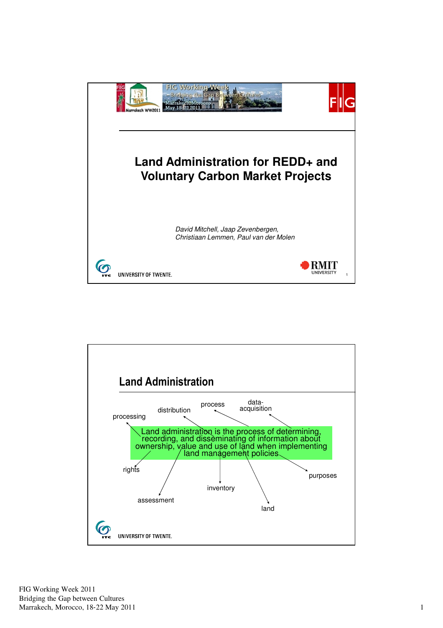

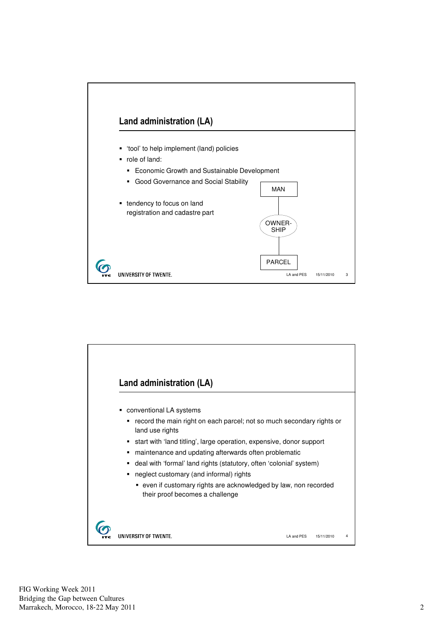

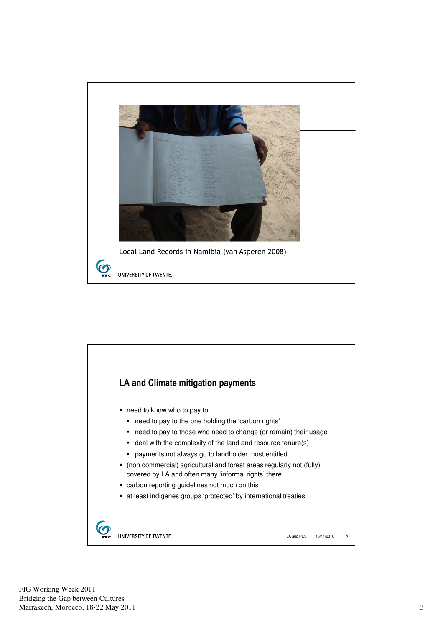

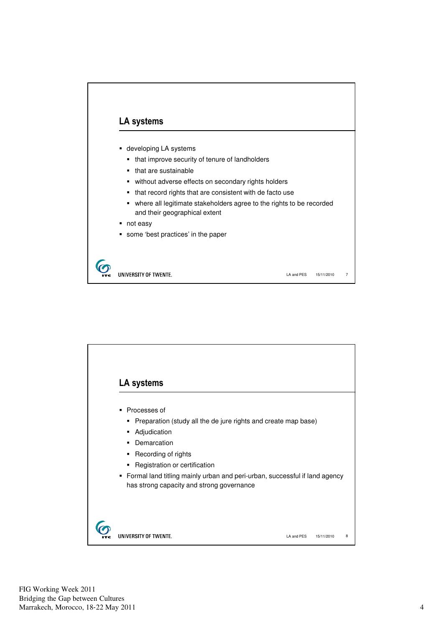

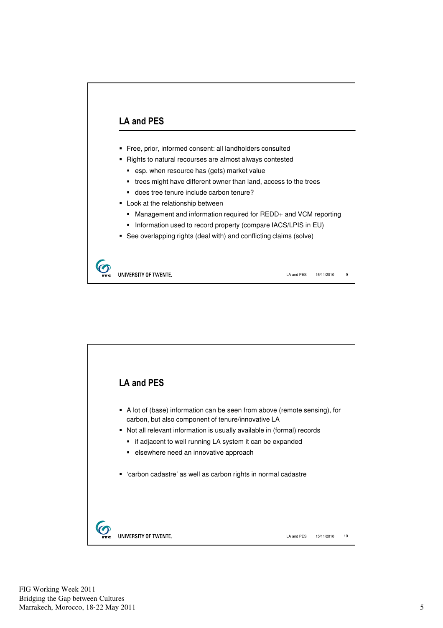

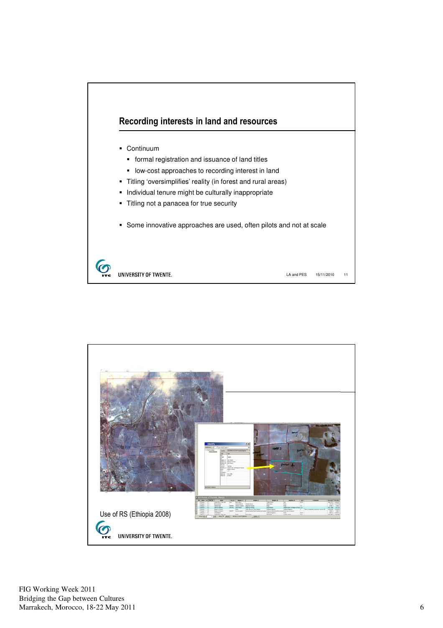